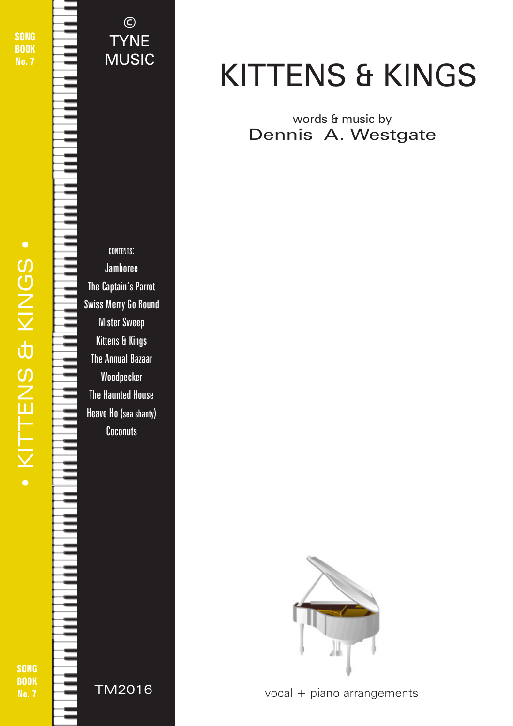SONG **BOOK** No. 7

CONTENTS: Jamboree The Captain's Parrot Swiss Merry Go Round Mister Sweep Kittens & Kings The Annual Bazaar Woodpecker The Haunted House Heave Ho (sea shanty) **Coconuts TYNE** MUSIC

©

#### BOOK No. 7



TM2016

# KITTENS & KINGS

#### words & music by Dennis A. Westgate



vocal + piano arrangements

© 2018 - Kittens & Kings - TYNE MUSIC - tynemusiclimited@gmail.com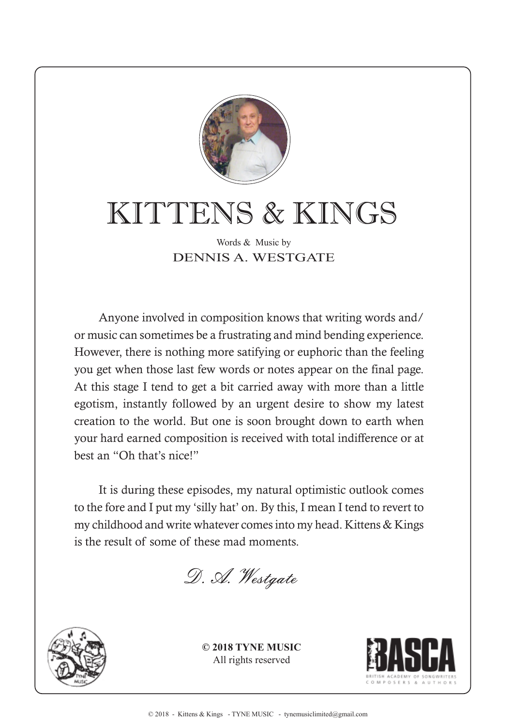

## KITTENS & KINGS

#### Words & Music by DENNIS A. WESTGATE

Anyone involved in composition knows that writing words and/ or music can sometimes be a frustrating and mind bending experience. However, there is nothing more satifying or euphoric than the feeling you get when those last few words or notes appear on the final page. At this stage I tend to get a bit carried away with more than a little egotism, instantly followed by an urgent desire to show my latest creation to the world. But one is soon brought down to earth when your hard earned composition is received with total indifference or at best an "Oh that's nice!"

It is during these episodes, my natural optimistic outlook comes to the fore and I put my 'silly hat' on. By this, I mean I tend to revert to my childhood and write whatever comes into my head. Kittens & Kings is the result of some of these mad moments.

D. A. Westgate



**© 2018 TYNE MUSIC** All rights reserved

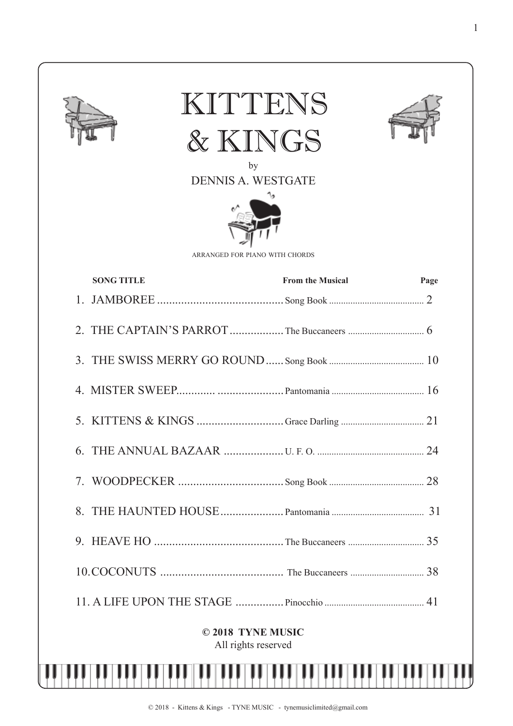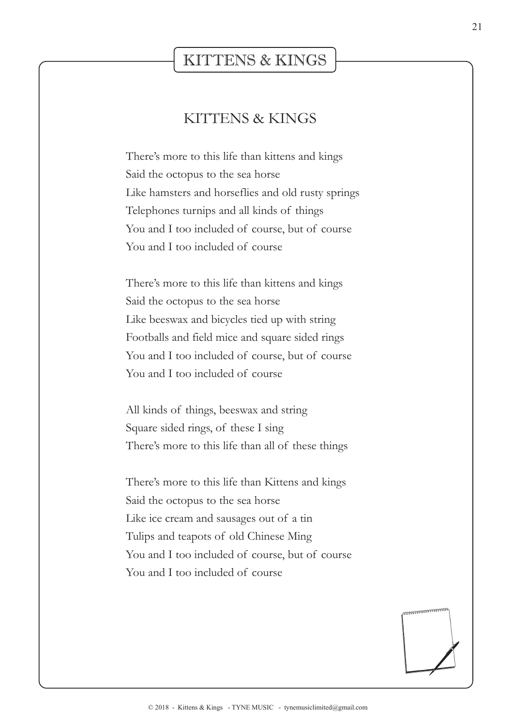#### KITTENS & KINGS

#### KITTENS & KINGS

There's more to this life than kittens and kings Said the octopus to the sea horse Like hamsters and horseflies and old rusty springs Telephones turnips and all kinds of things You and I too included of course, but of course You and I too included of course

There's more to this life than kittens and kings Said the octopus to the sea horse Like beeswax and bicycles tied up with string Footballs and field mice and square sided rings You and I too included of course, but of course You and I too included of course

All kinds of things, beeswax and string Square sided rings, of these I sing There's more to this life than all of these things

There's more to this life than Kittens and kings Said the octopus to the sea horse Like ice cream and sausages out of a tin Tulips and teapots of old Chinese Ming You and I too included of course, but of course You and I too included of course

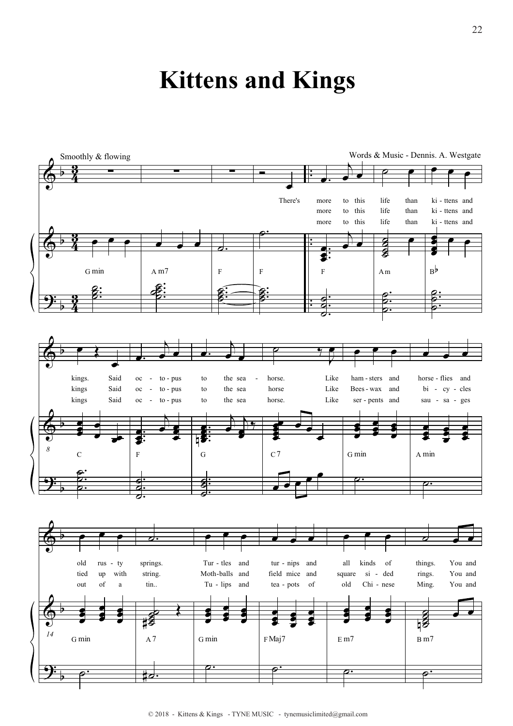### **Kittens and Kings**